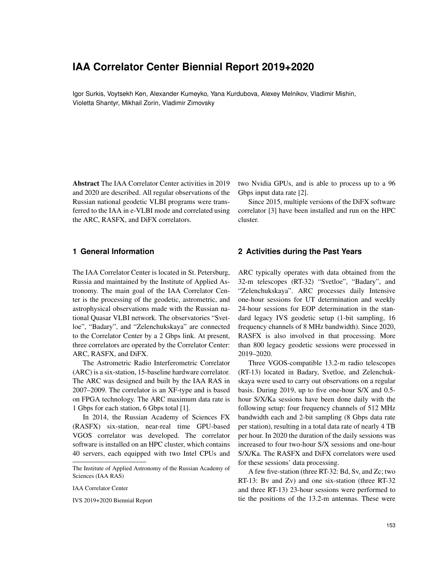# **IAA Correlator Center Biennial Report 2019+2020**

Igor Surkis, Voytsekh Ken, Alexander Kumeyko, Yana Kurdubova, Alexey Melnikov, Vladimir Mishin, Violetta Shantyr, Mikhail Zorin, Vladimir Zimovsky

Abstract The IAA Correlator Center activities in 2019 and 2020 are described. All regular observations of the Russian national geodetic VLBI programs were transferred to the IAA in e-VLBI mode and correlated using the ARC, RASFX, and DiFX correlators.

**1 General Information**

The IAA Correlator Center is located in St. Petersburg, Russia and maintained by the Institute of Applied Astronomy. The main goal of the IAA Correlator Center is the processing of the geodetic, astrometric, and astrophysical observations made with the Russian national Quasar VLBI network. The observatories "Svetloe", "Badary", and "Zelenchukskaya" are connected to the Correlator Center by a 2 Gbps link. At present, three correlators are operated by the Correlator Center: ARC, RASFX, and DiFX.

The Astrometric Radio Interferometric Correlator (ARC) is a six-station, 15-baseline hardware correlator. The ARC was designed and built by the IAA RAS in 2007–2009. The correlator is an XF-type and is based on FPGA technology. The ARC maximum data rate is 1 Gbps for each station, 6 Gbps total [1].

In 2014, the Russian Academy of Sciences FX (RASFX) six-station, near-real time GPU-based VGOS correlator was developed. The correlator software is installed on an HPC cluster, which contains 40 servers, each equipped with two Intel CPUs and two Nvidia GPUs, and is able to process up to a 96 Gbps input data rate [2].

Since 2015, multiple versions of the DiFX software correlator [3] have been installed and run on the HPC cluster.

### **2 Activities during the Past Years**

ARC typically operates with data obtained from the 32-m telescopes (RT-32) "Svetloe", "Badary", and "Zelenchukskaya". ARC processes daily Intensive one-hour sessions for UT determination and weekly 24-hour sessions for EOP determination in the standard legacy IVS geodetic setup (1-bit sampling, 16 frequency channels of 8 MHz bandwidth). Since 2020, RASFX is also involved in that processing. More than 800 legacy geodetic sessions were processed in 2019–2020.

Three VGOS-compatible 13.2-m radio telescopes (RT-13) located in Badary, Svetloe, and Zelenchukskaya were used to carry out observations on a regular basis. During 2019, up to five one-hour S/X and 0.5 hour S/X/Ka sessions have been done daily with the following setup: four frequency channels of 512 MHz bandwidth each and 2-bit sampling (8 Gbps data rate per station), resulting in a total data rate of nearly 4 TB per hour. In 2020 the duration of the daily sessions was increased to four two-hour S/X sessions and one-hour S/X/Ka. The RASFX and DiFX correlators were used for these sessions' data processing.

A few five-station (three RT-32: Bd, Sv, and Zc; two RT-13: Bv and Zv) and one six-station (three RT-32 and three RT-13) 23-hour sessions were performed to tie the positions of the 13.2-m antennas. These were

The Institute of Applied Astronomy of the Russian Academy of Sciences (IAA RAS)

IAA Correlator Center

IVS 2019+2020 Biennial Report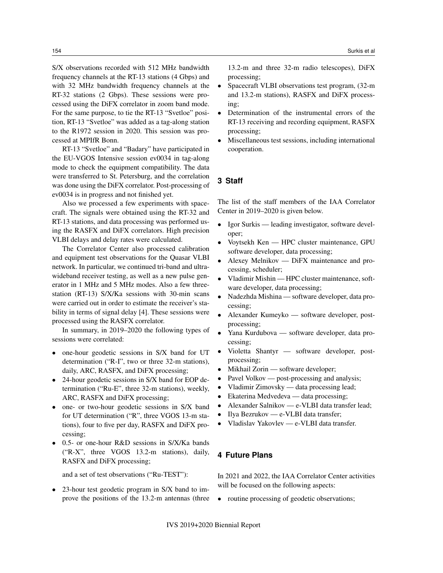S/X observations recorded with 512 MHz bandwidth frequency channels at the RT-13 stations (4 Gbps) and with 32 MHz bandwidth frequency channels at the RT-32 stations (2 Gbps). These sessions were processed using the DiFX correlator in zoom band mode. For the same purpose, to tie the RT-13 "Svetloe" position, RT-13 "Svetloe" was added as a tag-along station to the R1972 session in 2020. This session was processed at MPIfR Bonn.

RT-13 "Svetloe" and "Badary" have participated in the EU-VGOS Intensive session ev0034 in tag-along mode to check the equipment compatibility. The data were transferred to St. Petersburg, and the correlation was done using the DiFX correlator. Post-processing of ev0034 is in progress and not finished yet.

Also we processed a few experiments with spacecraft. The signals were obtained using the RT-32 and RT-13 stations, and data processing was performed using the RASFX and DiFX correlators. High precision VLBI delays and delay rates were calculated.

The Correlator Center also processed calibration and equipment test observations for the Quasar VLBI network. In particular, we continued tri-band and ultrawideband receiver testing, as well as a new pulse generator in 1 MHz and 5 MHz modes. Also a few threestation (RT-13) S/X/Ka sessions with 30-min scans were carried out in order to estimate the receiver's stability in terms of signal delay [4]. These sessions were processed using the RASFX correlator.

In summary, in 2019–2020 the following types of sessions were correlated:

- one-hour geodetic sessions in S/X band for UT determination ("R-I", two or three 32-m stations), daily, ARC, RASFX, and DiFX processing;
- 24-hour geodetic sessions in S/X band for EOP determination ("Ru-E", three 32-m stations), weekly, ARC, RASFX and DiFX processing;
- one- or two-hour geodetic sessions in S/X band for UT determination ("R", three VGOS 13-m stations), four to five per day, RASFX and DiFX processing;
- 0.5- or one-hour R&D sessions in S/X/Ka bands ("R-X", three VGOS 13.2-m stations), daily, RASFX and DiFX processing;

and a set of test observations ("Ru-TEST"):

• 23-hour test geodetic program in S/X band to improve the positions of the 13.2-m antennas (three

13.2-m and three 32-m radio telescopes), DiFX processing;

- Spacecraft VLBI observations test program, (32-m) and 13.2-m stations), RASFX and DiFX processing;
- Determination of the instrumental errors of the RT-13 receiving and recording equipment, RASFX processing;
- Miscellaneous test sessions, including international cooperation.

## **3 Staff**

The list of the staff members of the IAA Correlator Center in 2019–2020 is given below.

- Igor Surkis leading investigator, software developer;
- Voytsekh Ken HPC cluster maintenance, GPU software developer, data processing;
- Alexey Melnikov DiFX maintenance and processing, scheduler;
- Vladimir Mishin HPC cluster maintenance, software developer, data processing;
- Nadezhda Mishina software developer, data processing;
- Alexander Kumeyko software developer, postprocessing;
- Yana Kurdubova software developer, data processing;
- Violetta Shantyr software developer, postprocessing;
- Mikhail Zorin software developer;
- Pavel Volkov post-processing and analysis;
- Vladimir Zimovsky data processing lead;
- Ekaterina Medvedeva data processing;
- Alexander Salnikov e-VLBI data transfer lead;
- Ilya Bezrukov e-VLBI data transfer;
- Vladislav Yakovlev e-VLBI data transfer.

### **4 Future Plans**

In 2021 and 2022, the IAA Correlator Center activities will be focused on the following aspects:

• routine processing of geodetic observations;